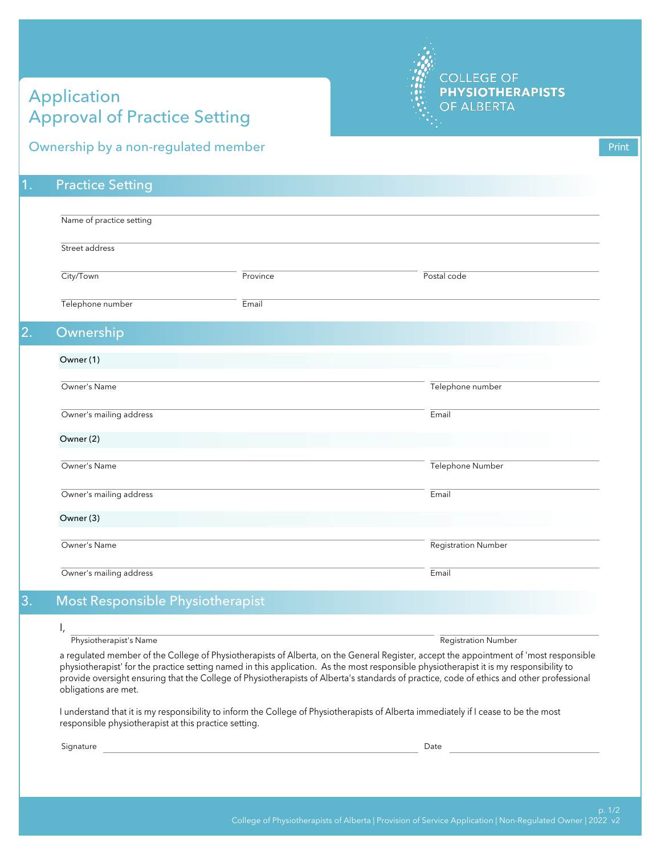## Application Approval of Practice Setting



## Ownership by a non-regulated member

1. Practice Setting

| Name of practice setting |          |                     |  |  |
|--------------------------|----------|---------------------|--|--|
| Street address           |          |                     |  |  |
| City/Town                | Province | Postal code         |  |  |
| Telephone number         | Email    |                     |  |  |
| Ownership                |          |                     |  |  |
| Owner (1)                |          |                     |  |  |
| Owner's Name             |          | Telephone number    |  |  |
| Owner's mailing address  |          | Email               |  |  |
| Owner (2)                |          |                     |  |  |
| Owner's Name             |          | Telephone Number    |  |  |
| Owner's mailing address  |          | Email               |  |  |
| Owner (3)                |          |                     |  |  |
| Owner's Name             |          | Registration Number |  |  |
| Owner's mailing address  |          | Email               |  |  |

## 3. Most Responsible Physiotherapist

Physiotherapist's Name Registration Number Registration Number

a regulated member of the College of Physiotherapists of Alberta, on the General Register, accept the appointment of 'most responsible physiotherapist' for the practice setting named in this application. As the most responsible physiotherapist it is my responsibility to provide oversight ensuring that the College of Physiotherapists of Alberta's standards of practice, code of ethics and other professional obligations are met.

I understand that it is my responsibility to inform the College of Physiotherapists of Alberta immediately if I cease to be the most responsible physiotherapist at this practice setting.

Signature Date of the Date of the Date of the Date of the Date of the Date of the Date of the Date of the Date of the Date of the Date of the Date of the Date of the Date of the Date of the Date of the Date of the Date of